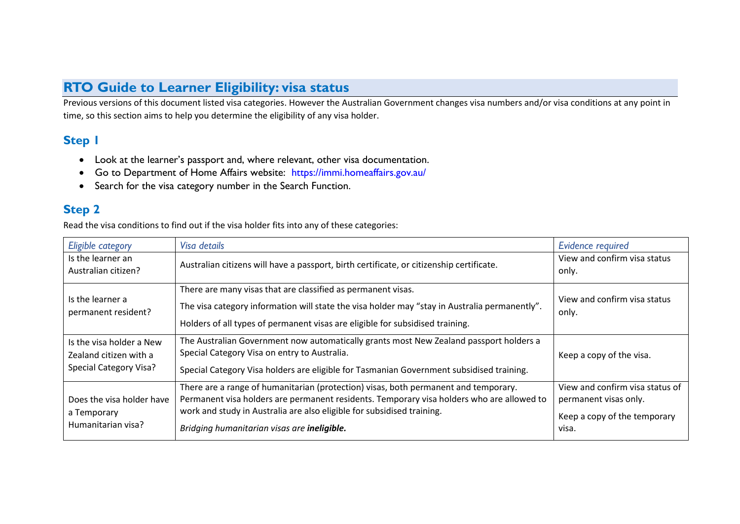## **RTO Guide to Learner Eligibility: visa status**

Previous versions of this document listed visa categories. However the Australian Government changes visa numbers and/or visa conditions at any point in time, so this section aims to help you determine the eligibility of any visa holder.

## **Step 1**

- Look at the learner's passport and, where relevant, other visa documentation.
- Go to Department of Home Affairs website: <https://immi.homeaffairs.gov.au/>
- Search for the visa category number in the Search Function.

## **Step 2**

Read the visa conditions to find out if the visa holder fits into any of these categories:

| Eligible category                                                                   | Visa details                                                                                                                                                                                                                                                                                              | <b>Evidence required</b>                                                                          |
|-------------------------------------------------------------------------------------|-----------------------------------------------------------------------------------------------------------------------------------------------------------------------------------------------------------------------------------------------------------------------------------------------------------|---------------------------------------------------------------------------------------------------|
| Is the learner an<br>Australian citizen?                                            | Australian citizens will have a passport, birth certificate, or citizenship certificate.                                                                                                                                                                                                                  | View and confirm visa status<br>only.                                                             |
| Is the learner a<br>permanent resident?                                             | There are many visas that are classified as permanent visas.<br>The visa category information will state the visa holder may "stay in Australia permanently".<br>Holders of all types of permanent visas are eligible for subsidised training.                                                            | View and confirm visa status<br>only.                                                             |
| Is the visa holder a New<br>Zealand citizen with a<br><b>Special Category Visa?</b> | The Australian Government now automatically grants most New Zealand passport holders a<br>Special Category Visa on entry to Australia.<br>Special Category Visa holders are eligible for Tasmanian Government subsidised training.                                                                        | Keep a copy of the visa.                                                                          |
| Does the visa holder have<br>a Temporary<br>Humanitarian visa?                      | There are a range of humanitarian (protection) visas, both permanent and temporary.<br>Permanent visa holders are permanent residents. Temporary visa holders who are allowed to<br>work and study in Australia are also eligible for subsidised training.<br>Bridging humanitarian visas are ineligible. | View and confirm visa status of<br>permanent visas only.<br>Keep a copy of the temporary<br>visa. |